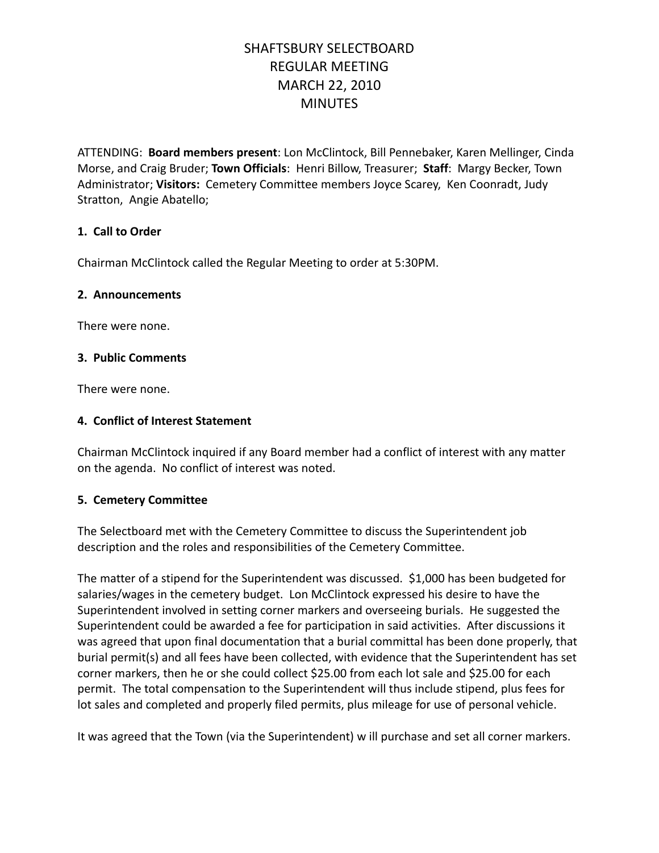# SHAFTSBURY SELECTBOARD REGULAR MEETING MARCH 22, 2010 **MINUTES**

ATTENDING: **Board members present**: Lon McClintock, Bill Pennebaker, Karen Mellinger, Cinda Morse, and Craig Bruder; **Town Officials**: Henri Billow, Treasurer; **Staff**: Margy Becker, Town Administrator; **Visitors:** Cemetery Committee members Joyce Scarey, Ken Coonradt, Judy Stratton, Angie Abatello;

### **1. Call to Order**

Chairman McClintock called the Regular Meeting to order at 5:30PM.

#### **2. Announcements**

There were none.

#### **3. Public Comments**

There were none.

#### **4. Conflict of Interest Statement**

Chairman McClintock inquired if any Board member had a conflict of interest with any matter on the agenda. No conflict of interest was noted.

#### **5. Cemetery Committee**

The Selectboard met with the Cemetery Committee to discuss the Superintendent job description and the roles and responsibilities of the Cemetery Committee.

The matter of a stipend for the Superintendent was discussed. \$1,000 has been budgeted for salaries/wages in the cemetery budget. Lon McClintock expressed his desire to have the Superintendent involved in setting corner markers and overseeing burials. He suggested the Superintendent could be awarded a fee for participation in said activities. After discussions it was agreed that upon final documentation that a burial committal has been done properly, that burial permit(s) and all fees have been collected, with evidence that the Superintendent has set corner markers, then he or she could collect \$25.00 from each lot sale and \$25.00 for each permit. The total compensation to the Superintendent will thus include stipend, plus fees for lot sales and completed and properly filed permits, plus mileage for use of personal vehicle.

It was agreed that the Town (via the Superintendent) w ill purchase and set all corner markers.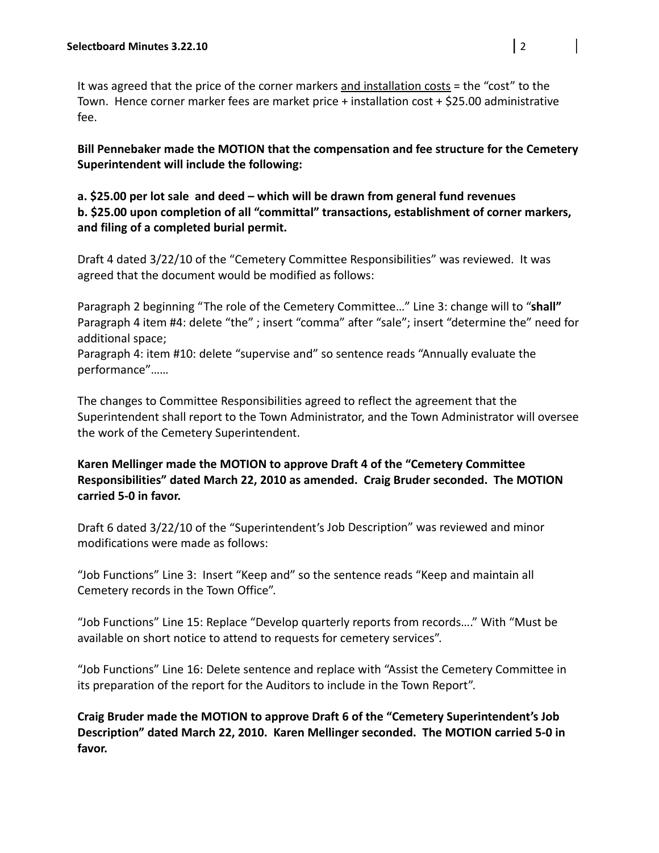It was agreed that the price of the corner markers and installation costs = the "cost" to the Town. Hence corner marker fees are market price + installation cost + \$25.00 administrative fee.

**Bill Pennebaker made the MOTION that the compensation and fee structure for the Cemetery Superintendent will include the following:**

## **a. \$25.00 per lot sale and deed – which will be drawn from general fund revenues b. \$25.00 upon completion of all "committal" transactions, establishment of corner markers, and filing of a completed burial permit.**

Draft 4 dated 3/22/10 of the "Cemetery Committee Responsibilities" was reviewed. It was agreed that the document would be modified as follows:

Paragraph 2 beginning "The role of the Cemetery Committee…" Line 3: change will to "**shall"** Paragraph 4 item #4: delete "the" ; insert "comma" after "sale"; insert "determine the" need for additional space;

Paragraph 4: item #10: delete "supervise and" so sentence reads "Annually evaluate the performance"……

The changes to Committee Responsibilities agreed to reflect the agreement that the Superintendent shall report to the Town Administrator, and the Town Administrator will oversee the work of the Cemetery Superintendent.

## **Karen Mellinger made the MOTION to approve Draft 4 of the "Cemetery Committee Responsibilities" dated March 22, 2010 as amended. Craig Bruder seconded. The MOTION carried 5‐0 in favor.**

Draft 6 dated 3/22/10 of the "Superintendent's Job Description" was reviewed and minor modifications were made as follows:

"Job Functions" Line 3: Insert "Keep and" so the sentence reads "Keep and maintain all Cemetery records in the Town Office".

"Job Functions" Line 15: Replace "Develop quarterly reports from records…." With "Must be available on short notice to attend to requests for cemetery services".

"Job Functions" Line 16: Delete sentence and replace with "Assist the Cemetery Committee in its preparation of the report for the Auditors to include in the Town Report".

**Craig Bruder made the MOTION to approve Draft 6 of the "Cemetery Superintendent's Job Description" dated March 22, 2010. Karen Mellinger seconded. The MOTION carried 5‐0 in favor.**

 $\overline{\phantom{a}}$